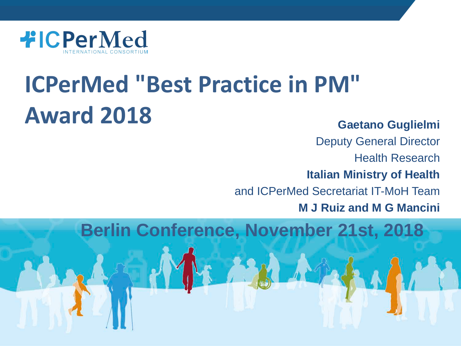

# **ICPerMed "Best Practice in PM" Award 2018**

#### **Gaetano Guglielmi**

Deputy General Director Health Research **Italian Ministry of Health** and ICPerMed Secretariat IT-MoH Team

**M J Ruiz and M G Mancini**

**Berlin Conference, November 21st, 2018**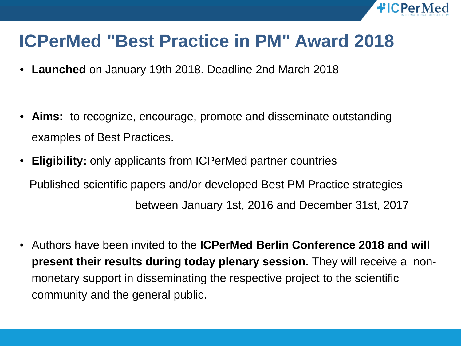

#### **ICPerMed "Best Practice in PM" Award 2018**

- **Launched** on January 19th 2018. Deadline 2nd March 2018
- **Aims:** to recognize, encourage, promote and disseminate outstanding examples of Best Practices.
- **Eligibility:** only applicants from ICPerMed partner countries Published scientific papers and/or developed Best PM Practice strategies between January 1st, 2016 and December 31st, 2017
- Authors have been invited to the **ICPerMed Berlin Conference 2018 and will present their results during today plenary session.** They will receive a nonmonetary support in disseminating the respective project to the scientific community and the general public.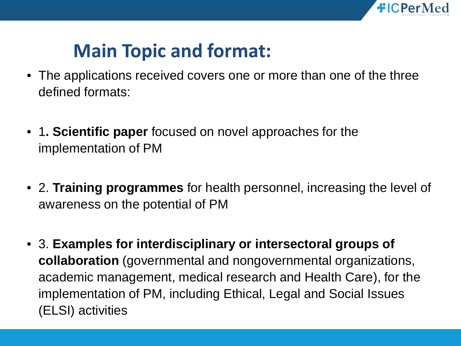

#### **Main Topic and format:**

- The applications received covers one or more than one of the three defined formats:
- 1**. Scientific paper** focused on novel approaches for the implementation of PM
- 2. **Training programmes** for health personnel, increasing the level of awareness on the potential of PM
- 3. **Examples for interdisciplinary or intersectoral groups of collaboration** (governmental and nongovernmental organizations, academic management, medical research and Health Care), for the implementation of PM, including Ethical, Legal and Social Issues (ELSI) activities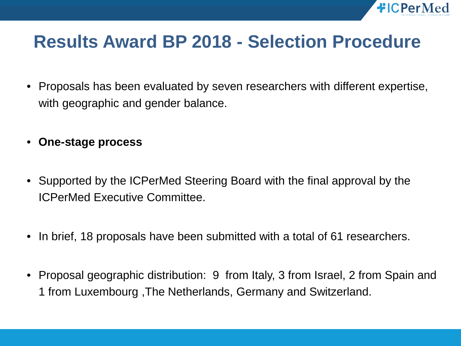

#### **Results Award BP 2018 - Selection Procedure**

- Proposals has been evaluated by seven researchers with different expertise, with geographic and gender balance.
- **One-stage process**
- Supported by the ICPerMed Steering Board with the final approval by the ICPerMed Executive Committee.
- In brief, 18 proposals have been submitted with a total of 61 researchers.
- Proposal geographic distribution: 9 from Italy, 3 from Israel, 2 from Spain and 1 from Luxembourg ,The Netherlands, Germany and Switzerland.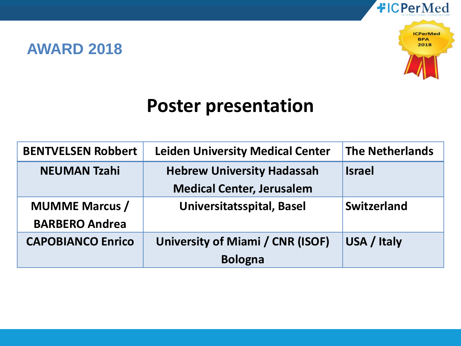#### **AWARD 2018**



#### **Poster presentation**

| <b>BENTVELSEN Robbert</b> | <b>Leiden University Medical Center</b> | <b>The Netherlands</b> |
|---------------------------|-----------------------------------------|------------------------|
| <b>NEUMAN Tzahi</b>       | <b>Hebrew University Hadassah</b>       | <b>Israel</b>          |
|                           | <b>Medical Center, Jerusalem</b>        |                        |
| <b>MUMME Marcus /</b>     | Universitatsspital, Basel               | Switzerland            |
| <b>BARBERO Andrea</b>     |                                         |                        |
| <b>CAPOBIANCO Enrico</b>  | University of Miami / CNR (ISOF)        | USA / Italy            |
|                           | <b>Bologna</b>                          |                        |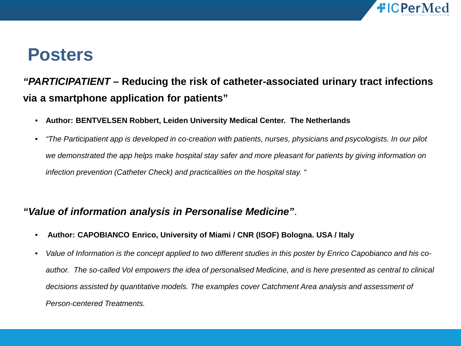

#### **Posters**

#### *"PARTICIPATIENT* **– Reducing the risk of catheter-associated urinary tract infections via a smartphone application for patients"**

- **Author: BENTVELSEN Robbert, Leiden University Medical Center. The Netherlands**
- *"The Participatient app is developed in co-creation with patients, nurses, physicians and psycologists. In our pilot we demonstrated the app helps make hospital stay safer and more pleasant for patients by giving information on infection prevention (Catheter Check) and practicalities on the hospital stay. "*

#### *"Value of information analysis in Personalise Medicine"*.

- **Author: CAPOBIANCO Enrico, University of Miami / CNR (ISOF) Bologna. USA / Italy**
- *Value of Information is the concept applied to two different studies in this poster by Enrico Capobianco and his coauthor. The so-called VoI empowers the idea of personalised Medicine, and is here presented as central to clinical decisions assisted by quantitative models. The examples cover Catchment Area analysis and assessment of Person-centered Treatments.*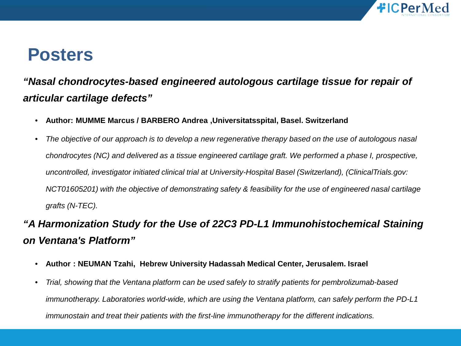

#### **Posters**

#### *"Nasal chondrocytes-based engineered autologous cartilage tissue for repair of articular cartilage defects"*

- **Author: MUMME Marcus / BARBERO Andrea ,Universitatsspital, Basel. Switzerland**
- *The objective of our approach is to develop a new regenerative therapy based on the use of autologous nasal chondrocytes (NC) and delivered as a tissue engineered cartilage graft. We performed a phase I, prospective, uncontrolled, investigator initiated clinical trial at University-Hospital Basel (Switzerland), (ClinicalTrials.gov: NCT01605201) with the objective of demonstrating safety & feasibility for the use of engineered nasal cartilage grafts (N-TEC).*

#### *"A Harmonization Study for the Use of 22C3 PD-L1 Immunohistochemical Staining on Ventana's Platform"*

- **Author : NEUMAN Tzahi, Hebrew University Hadassah Medical Center, Jerusalem. Israel**
- *Trial, showing that the Ventana platform can be used safely to stratify patients for pembrolizumab-based immunotherapy. Laboratories world-wide, which are using the Ventana platform, can safely perform the PD-L1 immunostain and treat their patients with the first-line immunotherapy for the different indications.*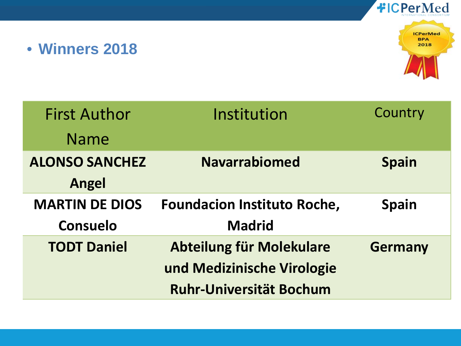#### • **Winners 2018**



| <b>First Author</b>   | Institution                        | Country        |
|-----------------------|------------------------------------|----------------|
| <b>Name</b>           |                                    |                |
| <b>ALONSO SANCHEZ</b> | <b>Navarrabiomed</b>               | <b>Spain</b>   |
| <b>Angel</b>          |                                    |                |
| <b>MARTIN DE DIOS</b> | <b>Foundacion Instituto Roche,</b> | <b>Spain</b>   |
| Consuelo              | <b>Madrid</b>                      |                |
| <b>TODT Daniel</b>    | Abteilung für Molekulare           | <b>Germany</b> |
|                       | und Medizinische Virologie         |                |
|                       | <b>Ruhr-Universität Bochum</b>     |                |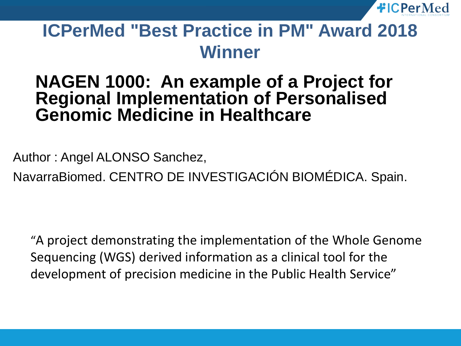

#### **ICPerMed "Best Practice in PM" Award 2018 Winner**

#### **NAGEN 1000: An example of a Project for Regional Implementation of Personalised Genomic Medicine in Healthcare**

Author : Angel ALONSO Sanchez,

NavarraBiomed. CENTRO DE INVESTIGACIÓN BIOMÉDICA. Spain.

"A project demonstrating the implementation of the Whole Genome Sequencing (WGS) derived information as a clinical tool for the development of precision medicine in the Public Health Service"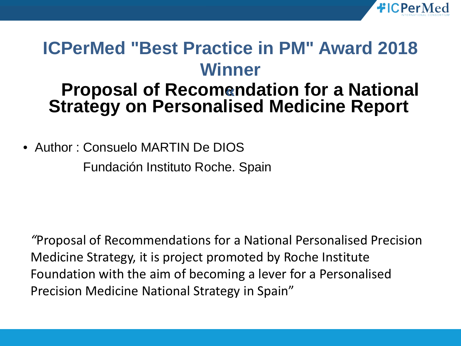

#### **ICPerMed "Best Practice in PM" Award 2018 Winner**

#### **Proposal of Recomendation for a National « Strategy on Personalised Medicine Report**

• Author : Consuelo MARTIN De DIOS

Fundación Instituto Roche. Spain

*"*Proposal of Recommendations for a National Personalised Precision Medicine Strategy, it is project promoted by Roche Institute Foundation with the aim of becoming a lever for a Personalised Precision Medicine National Strategy in Spain"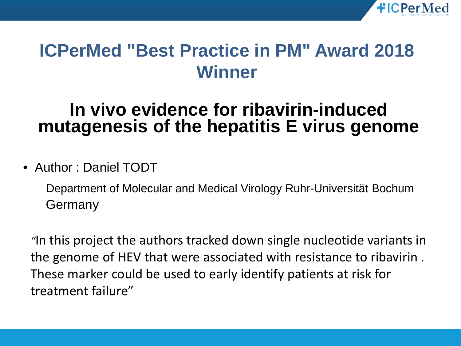

#### **ICPerMed "Best Practice in PM" Award 2018 Winner**

#### **In vivo evidence for ribavirin-induced mutagenesis of the hepatitis E virus genome**

#### • Author : Daniel TODT

Department of Molecular and Medical Virology Ruhr-Universität Bochum Germany

*"*In this project the authors tracked down single nucleotide variants in the genome of HEV that were associated with resistance to ribavirin . These marker could be used to early identify patients at risk for treatment failure"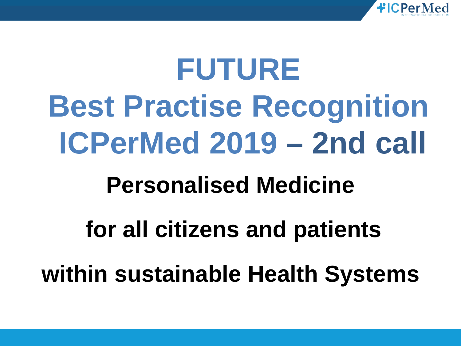

# **FUTURE Best Practise Recognition ICPerMed 2019 – 2nd call**

### **Personalised Medicine**

## **for all citizens and patients**

**within sustainable Health Systems**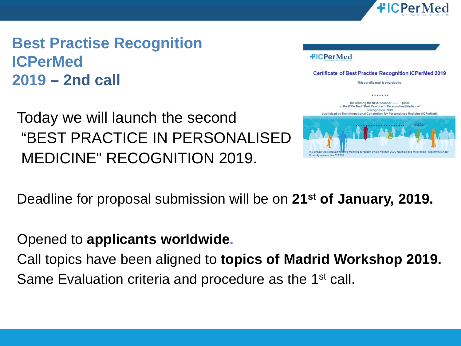

**Best Practise Recognition ICPerMed 2019 – 2nd call**

#### Today we will launch the second "BEST PRACTICE IN PERSONALISED MEDICINE" RECOGNITION 2019.

#### **#ICPerMed**

**Certificate of Best Practise Recognition ICPerMed 2019** 

This certificated is awarded to



Deadline for proposal submission will be on **21st of January, 2019.** 

#### Opened to **applicants worldwide.**

Call topics have been aligned to **topics of Madrid Workshop 2019.** Same Evaluation criteria and procedure as the 1<sup>st</sup> call.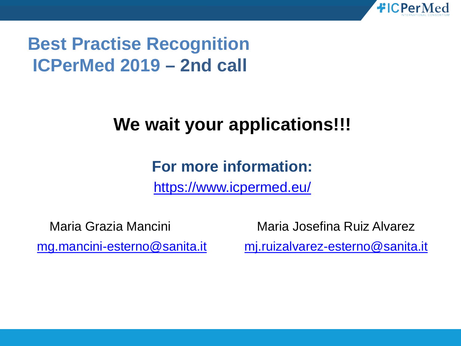

#### **Best Practise Recognition ICPerMed 2019 – 2nd call**

#### **We wait your applications!!!**

#### **For more information:**

<https://www.icpermed.eu/>

Maria Grazia Mancini Maria Josefina Ruiz Alvarez [mg.mancini-esterno@sanita.it](mailto:mg.mancini-esterno@sanita.it) [mj.ruizalvarez-esterno@sanita.it](mailto:mj.ruizalvarez-esterno@sanita.it)